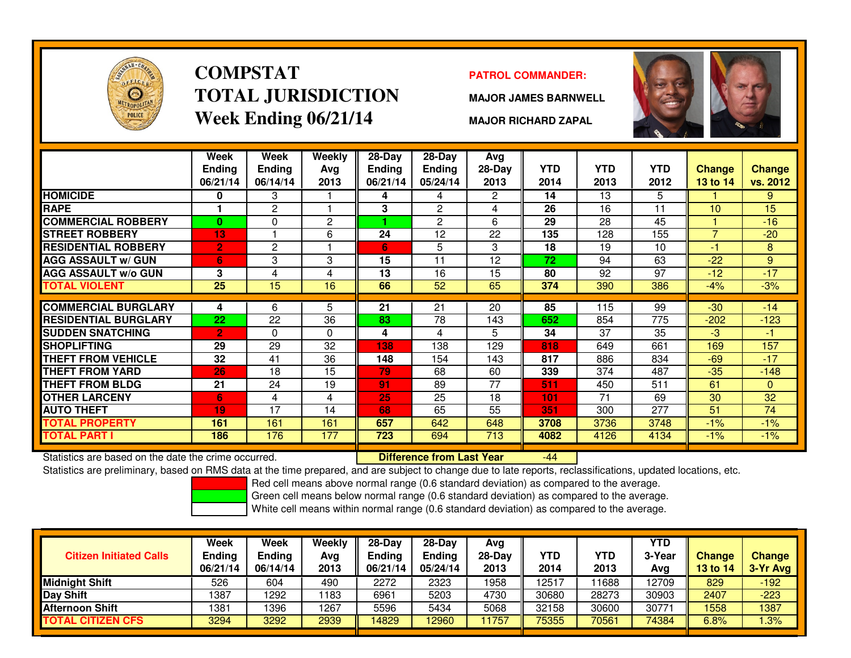

# **COMPSTATTOTAL JURISDICTIONWeek Ending 06/21/14**

#### **PATROL COMMANDER:**

**MAJOR JAMES BARNWELL**



**MAJOR RICHARD ZAPAL**

|                             | Week<br><b>Ending</b><br>06/21/14 | Week<br>Ending<br>06/14/14 | Weekly<br>Avg<br>2013 | $28$ -Day<br>Ending<br>06/21/14 | $28$ -Day<br><b>Ending</b><br>05/24/14 | Avg<br>28-Day<br>2013 | <b>YTD</b><br>2014 | <b>YTD</b><br>2013 | <b>YTD</b><br>2012 | <b>Change</b><br><b>13 to 14</b> | <b>Change</b><br>vs. 2012 |
|-----------------------------|-----------------------------------|----------------------------|-----------------------|---------------------------------|----------------------------------------|-----------------------|--------------------|--------------------|--------------------|----------------------------------|---------------------------|
| <b>HOMICIDE</b>             | 0                                 | 3                          |                       | 4                               | 4                                      | $\mathbf{2}^{\circ}$  | 14                 | 13                 | 5.                 |                                  | 9                         |
| <b>RAPE</b>                 |                                   | 2                          |                       | 3                               | 2                                      | 4                     | 26                 | 16                 | 11                 | 10                               | 15                        |
| <b>COMMERCIAL ROBBERY</b>   | 0                                 | 0                          | $\overline{c}$        |                                 | $\overline{c}$                         | 6                     | 29                 | 28                 | 45                 |                                  | $-16$                     |
| <b>STREET ROBBERY</b>       | 13                                |                            | 6                     | 24                              | 12                                     | 22                    | 135                | 128                | 155                | $\overline{7}$                   | $-20$                     |
| <b>RESIDENTIAL ROBBERY</b>  | $\overline{2}$                    | 2                          |                       | 6                               | 5                                      | 3                     | 18                 | 19                 | 10                 | -1                               | 8                         |
| <b>AGG ASSAULT w/ GUN</b>   | 6                                 | 3                          | 3                     | 15                              | 11                                     | 12                    | 72                 | 94                 | 63                 | $-22$                            | 9                         |
| <b>AGG ASSAULT w/o GUN</b>  | 3                                 | 4                          | 4                     | 13                              | 16                                     | 15                    | 80                 | 92                 | 97                 | $-12$                            | $-17$                     |
| TOTAL VIOLENT               | 25                                | 15                         | 16                    | 66                              | 52                                     | 65                    | 374                | 390                | 386                | $-4%$                            | $-3%$                     |
|                             |                                   |                            |                       |                                 |                                        |                       |                    |                    |                    |                                  |                           |
| <b>COMMERCIAL BURGLARY</b>  | 4                                 | 6                          | 5                     | 21                              | 21                                     | 20                    | 85                 | 115                | 99                 | $-30$                            | $-14$                     |
| <b>RESIDENTIAL BURGLARY</b> | 22                                | 22                         | 36                    | 83                              | 78                                     | 143                   | 652                | 854                | 775                | $-202$                           | $-123$                    |
| <b>SUDDEN SNATCHING</b>     | $\overline{2}$                    | 0                          | $\Omega$              | 4                               | 4                                      | 5                     | 34                 | 37                 | 35                 | $-3$                             | $-1$                      |
| <b>SHOPLIFTING</b>          | 29                                | 29                         | 32                    | 138                             | 138                                    | 129                   | 818                | 649                | 661                | 169                              | 157                       |
| THEFT FROM VEHICLE          | 32                                | 41                         | 36                    | 148                             | 154                                    | 143                   | 817                | 886                | 834                | $-69$                            | $-17$                     |
| THEFT FROM YARD             | 26                                | 18                         | 15                    | 79                              | 68                                     | 60                    | 339                | 374                | 487                | $-35$                            | $-148$                    |
| THEFT FROM BLDG             | 21                                | 24                         | 19                    | 91                              | 89                                     | 77                    | 511                | 450                | 511                | 61                               | $\mathbf{0}$              |
| <b>OTHER LARCENY</b>        | 6                                 | 4                          | 4                     | 25                              | 25                                     | 18                    | 101                | 71                 | 69                 | 30                               | 32                        |
| <b>AUTO THEFT</b>           | 19                                | 17                         | 14                    | 68                              | 65                                     | 55                    | 351                | 300                | 277                | 51                               | 74                        |
| <b>TOTAL PROPERTY</b>       | 161                               | 161                        | 161                   | 657                             | 642                                    | 648                   | 3708               | 3736               | 3748               | $-1%$                            | $-1%$                     |
| TOTAL PART I                | 186                               | 176                        | 177                   | 723                             | 694                                    | 713                   | 4082               | 4126               | 4134               | $-1\%$                           | $-1%$                     |

Statistics are based on the date the crime occurred. **Difference from Last Year** 

Statistics are based on the date the crime occurred. **[19] Luident Luiden Last Year Metation Cast Sear** 1995-144<br>Statistics are preliminary, based on RMS data at the time prepared, and are subject to change due to late rep

Red cell means above normal range (0.6 standard deviation) as compared to the average.

Green cell means below normal range (0.6 standard deviation) as compared to the average.

| <b>Citizen Initiated Calls</b> | Week<br><b>Ending</b><br>06/21/14 | Week<br><b>Ending</b><br>06/14/14 | Weekly<br>Avg<br>2013 | $28-Dav$<br>Ending<br>06/21/14 | $28-Dav$<br>Ending<br>05/24/14 | Avg<br>$28-Day$<br>2013 | YTD<br>2014 | YTD<br>2013 | <b>YTD</b><br>3-Year<br>Avg | <b>Change</b><br><b>13 to 14</b> | <b>Change</b><br>3-Yr Avg |
|--------------------------------|-----------------------------------|-----------------------------------|-----------------------|--------------------------------|--------------------------------|-------------------------|-------------|-------------|-----------------------------|----------------------------------|---------------------------|
| <b>Midnight Shift</b>          | 526                               | 604                               | 490                   | 2272                           | 2323                           | 1958                    | 12517       | 1688        | 12709                       | 829                              | -192                      |
| Day Shift                      | 1387                              | 1292                              | 1183                  | 6961                           | 5203                           | 4730                    | 30680       | 28273       | 30903                       | 2407                             | $-223$                    |
| <b>Afternoon Shift</b>         | 1381                              | 1396                              | 1267                  | 5596                           | 5434                           | 5068                    | 32158       | 30600       | 30771                       | 1558                             | 1387                      |
| <b>TOTAL CITIZEN CFS</b>       | 3294                              | 3292                              | 2939                  | 4829                           | 2960                           | 1757                    | 75355       | 70561       | 74384                       | 6.8%                             | 1.3%                      |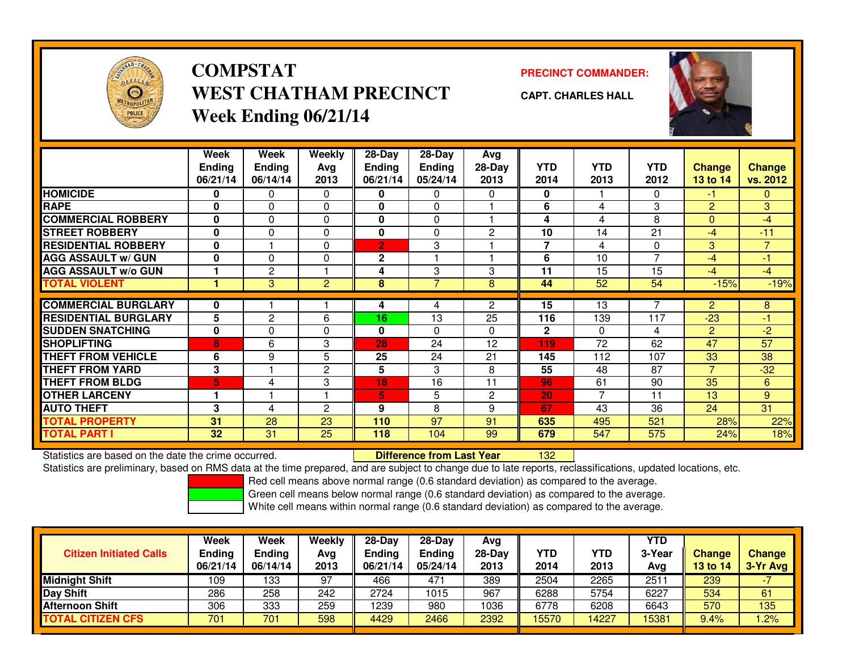

## **COMPSTATWEST CHATHAM PRECINCTWeek Ending 06/21/14**

**PRECINCT COMMANDER:**



**CAPT. CHARLES HALL**

|                             | Week<br><b>Ending</b><br>06/21/14 | Week<br><b>Ending</b><br>06/14/14 | Weekly<br>Avg<br>2013 | $28 - Day$<br><b>Ending</b><br>06/21/14 | $28 - Day$<br><b>Ending</b><br>05/24/14 | Avg<br>$28-Day$<br>2013 | <b>YTD</b><br>2014 | <b>YTD</b><br>2013 | <b>YTD</b><br>2012 | <b>Change</b><br>13 to 14 | <b>Change</b><br>vs. 2012 |
|-----------------------------|-----------------------------------|-----------------------------------|-----------------------|-----------------------------------------|-----------------------------------------|-------------------------|--------------------|--------------------|--------------------|---------------------------|---------------------------|
| <b>HOMICIDE</b>             | 0                                 | $\Omega$                          | 0                     | 0                                       | 0                                       | $\Omega$                | 0                  |                    | 0                  | $-1$                      | $\overline{0}$            |
| <b>RAPE</b>                 | 0                                 | $\Omega$                          | $\Omega$              | $\bf{0}$                                | 0                                       |                         | 6                  | 4                  | 3                  | $\overline{2}$            | 3                         |
| <b>COMMERCIAL ROBBERY</b>   | 0                                 | $\mathbf{0}$                      | 0                     | 0                                       | 0                                       |                         | 4                  | 4                  | 8                  | $\mathbf{0}$              | $-4$                      |
| <b>STREET ROBBERY</b>       | 0                                 | $\Omega$                          | $\Omega$              | $\bf{0}$                                | 0                                       | $\overline{c}$          | 10                 | 14                 | 21                 | $-4$                      | $-11$                     |
| <b>RESIDENTIAL ROBBERY</b>  | 0                                 |                                   | 0                     | $\overline{2}$                          | 3                                       |                         | 7                  | 4                  | $\Omega$           | 3                         | $7^{\circ}$               |
| <b>AGG ASSAULT w/ GUN</b>   | 0                                 | $\Omega$                          | $\Omega$              | $\overline{2}$                          |                                         |                         | 6                  | 10                 | 7                  | $-4$                      | $-1$                      |
| <b>AGG ASSAULT w/o GUN</b>  |                                   | $\overline{c}$                    |                       | 4                                       | 3                                       | 3                       | 11                 | 15                 | 15                 | $-4$                      | $-4$                      |
| <b>TOTAL VIOLENT</b>        |                                   | 3                                 | $\overline{2}$        | 8                                       | 7                                       | 8                       | 44                 | 52                 | 54                 | $-15%$                    | $-19%$                    |
|                             |                                   |                                   |                       |                                         |                                         |                         |                    |                    |                    |                           |                           |
| <b>COMMERCIAL BURGLARY</b>  | 0                                 |                                   |                       | 4                                       | 4                                       | $\overline{2}$          | 15                 | 13                 |                    | 2                         | 8                         |
| <b>RESIDENTIAL BURGLARY</b> | 5                                 | 2                                 | 6                     | 16                                      | 13                                      | 25                      | 116                | 139                | 117                | $-23$                     | -1                        |
| <b>SUDDEN SNATCHING</b>     | 0                                 | $\Omega$                          | $\Omega$              | $\bf{0}$                                | 0                                       | $\Omega$                | $\mathbf{2}$       | $\Omega$           | 4                  | 2                         | $-2$                      |
| SHOPLIFTING                 | 8                                 | 6                                 | 3                     | 28                                      | 24                                      | 12                      | 119                | 72                 | 62                 | 47                        | 57                        |
| <b>THEFT FROM VEHICLE</b>   | 6                                 | 9                                 | 5                     | 25                                      | 24                                      | 21                      | 145                | 112                | 107                | 33                        | 38                        |
| <b>THEFT FROM YARD</b>      | 3                                 |                                   | $\mathbf{2}$          | 5                                       | 3                                       | 8                       | 55                 | 48                 | 87                 | $\overline{7}$            | $-32$                     |
| <b>THEFT FROM BLDG</b>      | 5                                 | 4                                 | 3                     | 18                                      | 16                                      | 11                      | 96                 | 61                 | 90                 | 35                        | 6                         |
| <b>OTHER LARCENY</b>        | 1                                 |                                   |                       | 5                                       | 5                                       | 2                       | 20                 | $\overline{7}$     | 11                 | 13                        | 9                         |
| <b>AUTO THEFT</b>           | 3                                 | 4                                 | $\overline{2}$        | 9                                       | 8                                       | 9                       | 67                 | 43                 | 36                 | 24                        | 31                        |
| <b>TOTAL PROPERTY</b>       | 31                                | 28                                | 23                    | 110                                     | 97                                      | 91                      | 635                | 495                | 521                | 28%                       | 22%                       |
| <b>TOTAL PART I</b>         | 32                                | 31                                | 25                    | 118                                     | 104                                     | 99                      | 679                | 547                | 575                | 24%                       | 18%                       |

Statistics are based on the date the crime occurred. **Difference from Last Year** 

<sup>132</sup>

Statistics are preliminary, based on RMS data at the time prepared, and are subject to change due to late reports, reclassifications, updated locations, etc.

Red cell means above normal range (0.6 standard deviation) as compared to the average.

Green cell means below normal range (0.6 standard deviation) as compared to the average.

| <b>Citizen Initiated Calls</b> | <b>Week</b><br><b>Ending</b><br>06/21/14 | Week<br><b>Ending</b><br>06/14/14 | Weekly<br>Avg<br>2013 | $28-Day$<br><b>Ending</b><br>06/21/14 | $28-Dav$<br><b>Ending</b><br>05/24/14 | Avg<br>28-Dav<br>2013 | YTD<br>2014 | YTD<br>2013 | <b>YTD</b><br>3-Year<br>Avg | <b>Change</b><br><b>13 to 14</b> | <b>Change</b><br>3-Yr Avg |
|--------------------------------|------------------------------------------|-----------------------------------|-----------------------|---------------------------------------|---------------------------------------|-----------------------|-------------|-------------|-----------------------------|----------------------------------|---------------------------|
| <b>Midnight Shift</b>          | 109                                      | 133                               | 97                    | 466                                   | 471                                   | 389                   | 2504        | 2265        | $251^{\circ}$               | 239                              |                           |
| Day Shift                      | 286                                      | 258                               | 242                   | 2724                                  | 1015                                  | 967                   | 6288        | 5754        | 6227                        | 534                              | 61                        |
| <b>Afternoon Shift</b>         | 306                                      | 333                               | 259                   | 1239                                  | 980                                   | 1036                  | 6778        | 6208        | 6643                        | 570                              | 135                       |
| <b>TOTAL CITIZEN CFS</b>       | 701                                      | 701                               | 598                   | 4429                                  | 2466                                  | 2392                  | 15570       | 14227       | 15381                       | 9.4%                             | .2%                       |

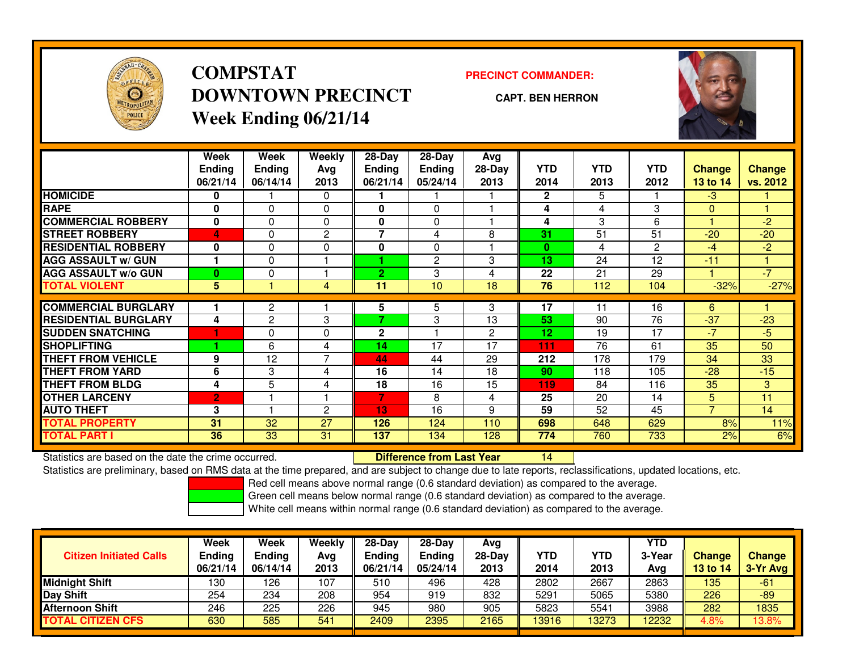

## **COMPSTATDOWNTOWN PRECINCTWeek Ending 06/21/14**

**PRECINCT COMMANDER:**

**CAPT. BEN HERRON**



|                             | Week           | Week           | Weekly         | $28-Day$       | $28 - Day$     | Avg            |                 |            |                |                |               |
|-----------------------------|----------------|----------------|----------------|----------------|----------------|----------------|-----------------|------------|----------------|----------------|---------------|
|                             | <b>Ending</b>  | <b>Ending</b>  | Avg            | <b>Ending</b>  | Ending         | 28-Day         | <b>YTD</b>      | <b>YTD</b> | <b>YTD</b>     | <b>Change</b>  | <b>Change</b> |
|                             | 06/21/14       | 06/14/14       | 2013           | 06/21/14       | 05/24/14       | 2013           | 2014            | 2013       | 2012           | 13 to 14       | vs. 2012      |
| <b>HOMICIDE</b>             | 0              |                | 0              |                |                |                | $\mathbf{2}$    | 5          |                | $-3$           |               |
| <b>RAPE</b>                 | $\bf{0}$       | $\Omega$       | $\Omega$       | 0              | $\Omega$       |                | 4               | 4          | 3              | $\Omega$       |               |
| <b>COMMERCIAL ROBBERY</b>   | 0              | 0              | 0              | 0              | 0              |                | 4               | 3          | 6              |                | $-2$          |
| <b>STREET ROBBERY</b>       | 4              | 0              | $\overline{c}$ | 7              | 4              | 8              | 31              | 51         | 51             | $-20$          | $-20$         |
| <b>RESIDENTIAL ROBBERY</b>  | 0              | 0              | 0              | 0              | $\Omega$       |                | $\bf{0}$        | 4          | $\overline{2}$ | $-4$           | $-2$          |
| <b>AGG ASSAULT w/ GUN</b>   |                | $\Omega$       |                |                | $\overline{c}$ | 3              | 13              | 24         | 12             | $-11$          |               |
| <b>AGG ASSAULT w/o GUN</b>  | $\bf{0}$       | 0              |                | $\overline{2}$ | 3              | 4              | 22              | 21         | 29             |                | $-7$          |
| <b>TOTAL VIOLENT</b>        | 5              |                | $\overline{4}$ | 11             | 10             | 18             | 76              | 112        | 104            | $-32%$         | $-27%$        |
| <b>COMMERCIAL BURGLARY</b>  |                |                |                |                |                | 3              | 17              | 11         | 16             | 6              |               |
|                             |                | 2              |                | 5.<br>7        | 5              |                |                 |            |                |                |               |
| <b>RESIDENTIAL BURGLARY</b> | 4              | $\overline{2}$ | 3              |                | 3              | 13             | 53              | 90         | 76             | $-37$          | $-23$         |
| <b>SUDDEN SNATCHING</b>     |                | 0              | $\Omega$       | $\mathbf 2$    |                | $\overline{2}$ | 12 <sub>2</sub> | 19         | 17             | -7             | $-5$          |
| <b>SHOPLIFTING</b>          |                | 6              | 4              | 14             | 17             | 17             | 111             | 76         | 61             | 35             | 50            |
| <b>THEFT FROM VEHICLE</b>   | 9              | 12             | $\overline{7}$ | 44             | 44             | 29             | 212             | 178        | 179            | 34             | 33            |
| <b>THEFT FROM YARD</b>      | 6              | 3              | 4              | 16             | 14             | 18             | 90              | 118        | 105            | $-28$          | $-15$         |
| <b>THEFT FROM BLDG</b>      | 4              | 5              | 4              | 18             | 16             | 15             | 119             | 84         | 116            | 35             | 3             |
| <b>OTHER LARCENY</b>        | $\overline{2}$ |                |                | 7              | 8              | 4              | 25              | 20         | 14             | 5              | 11            |
| <b>AUTO THEFT</b>           | 3              |                | $\overline{c}$ | 13             | 16             | 9              | 59              | 52         | 45             | $\overline{7}$ | 14            |
| <b>TOTAL PROPERTY</b>       | 31             | 32             | 27             | 126            | 124            | 110            | 698             | 648        | 629            | 8%             | 11%           |
| <b>TOTAL PART I</b>         | 36             | 33             | 31             | 137            | 134            | 128            | 774             | 760        | 733            | 2%             | 6%            |

Statistics are based on the date the crime occurred. **Difference from Last Year** 

<sup>14</sup>

Statistics are preliminary, based on RMS data at the time prepared, and are subject to change due to late reports, reclassifications, updated locations, etc.

Red cell means above normal range (0.6 standard deviation) as compared to the average.

Green cell means below normal range (0.6 standard deviation) as compared to the average.

| <b>Citizen Initiated Calls</b> | Week<br><b>Ending</b><br>06/21/14 | Week<br><b>Ending</b><br>06/14/14 | Weekly<br>Avg<br>2013 | $28-Dav$<br><b>Endina</b><br>06/21/14 | $28-Dav$<br><b>Ending</b><br>05/24/14 | Avg<br>28-Day<br>2013 | <b>YTD</b><br>2014 | YTD<br>2013 | YTD<br>3-Year<br>Avg | <b>Change</b><br>13 to 14 | <b>Change</b><br>3-Yr Avg |
|--------------------------------|-----------------------------------|-----------------------------------|-----------------------|---------------------------------------|---------------------------------------|-----------------------|--------------------|-------------|----------------------|---------------------------|---------------------------|
| <b>Midnight Shift</b>          | 130                               | 126                               | 107                   | 510                                   | 496                                   | 428                   | 2802               | 2667        | 2863                 | 135                       | -61                       |
| Day Shift                      | 254                               | 234                               | 208                   | 954                                   | 919                                   | 832                   | 5291               | 5065        | 5380                 | 226                       | $-89$                     |
| Afternoon Shift                | 246                               | 225                               | 226                   | 945                                   | 980                                   | 905                   | 5823               | 5541        | 3988                 | 282                       | 1835                      |
| <b>TOTAL CITIZEN CFS</b>       | 630                               | 585                               | 541                   | 2409                                  | 2395                                  | 2165                  | 13916              | 13273       | 12232                | 4.8%                      | 13.8%                     |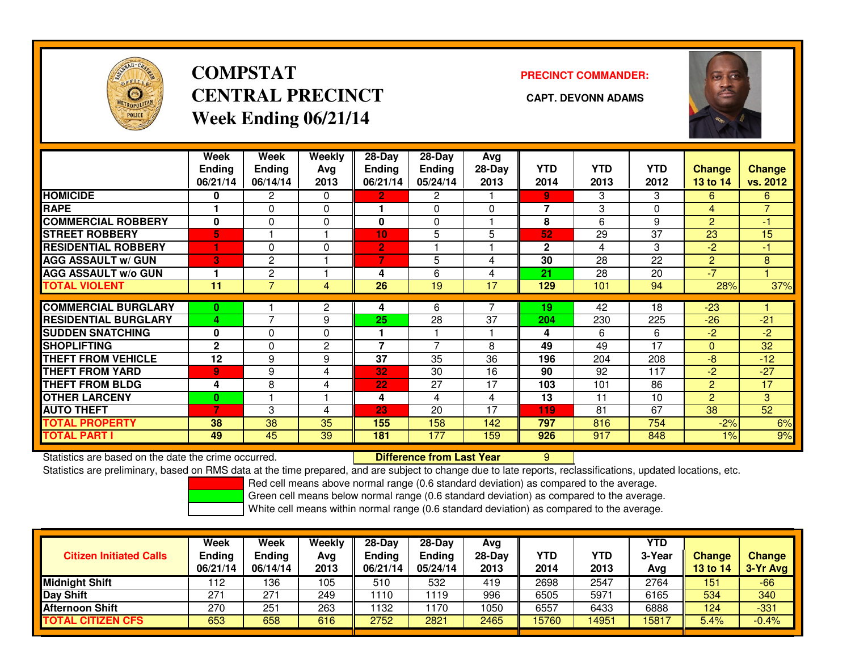

## **COMPSTATCENTRAL PRECINCT CAPT. DEVONN ADAMSWeek Ending 06/21/14**

**PRECINCT COMMANDER:**



|                             | Week           | Week                     | Weekly         | $28-Day$       | $28$ -Day             | Avg            |              |            |            |                 |                |
|-----------------------------|----------------|--------------------------|----------------|----------------|-----------------------|----------------|--------------|------------|------------|-----------------|----------------|
|                             | <b>Ending</b>  | <b>Ending</b>            | Avg            | <b>Ending</b>  | Ending                | $28-Day$       | <b>YTD</b>   | <b>YTD</b> | <b>YTD</b> | <b>Change</b>   | <b>Change</b>  |
|                             | 06/21/14       | 06/14/14                 | 2013           | 06/21/14       | 05/24/14              | 2013           | 2014         | 2013       | 2012       | <b>13 to 14</b> | vs. 2012       |
| <b>HOMICIDE</b>             | 0              | $\overline{2}$           | $\Omega$       | $\mathbf{2}$   | $\mathbf{2}^{\prime}$ |                | 9            | 3          | 3          | 6               | 6              |
| <b>RAPE</b>                 |                | 0                        | 0              |                | 0                     | 0              | 7            | 3          | 0          | 4               | $\overline{7}$ |
| <b>COMMERCIAL ROBBERY</b>   | 0              | $\Omega$                 | 0              | 0              | 0                     |                | 8            | 6          | 9          | $\overline{2}$  | $-1$           |
| <b>STREET ROBBERY</b>       | 5              |                          |                | 10             | 5                     | 5              | 52           | 29         | 37         | 23              | 15             |
| <b>RESIDENTIAL ROBBERY</b>  |                | 0                        | $\Omega$       | $\overline{2}$ |                       |                | $\mathbf{2}$ | 4          | 3          | $-2$            | $-1$           |
| <b>AGG ASSAULT w/ GUN</b>   | 3              | $\overline{c}$           |                | 7              | 5                     | 4              | 30           | 28         | 22         | $\overline{2}$  | 8              |
| <b>AGG ASSAULT w/o GUN</b>  |                | 2                        |                | 4              | 6                     | 4              | 21           | 28         | 20         | $-7$            |                |
| <b>TOTAL VIOLENT</b>        | 11             | 7                        | 4              | 26             | 19                    | 17             | 129          | 101        | 94         | 28%             | 37%            |
|                             |                |                          |                |                |                       | $\overline{ }$ |              |            |            |                 |                |
| <b>COMMERCIAL BURGLARY</b>  | $\bf{0}$       |                          | 2              | 4              | 6                     |                | 19           | 42         | 18         | $-23$           |                |
| <b>RESIDENTIAL BURGLARY</b> | 4              | $\overline{\phantom{a}}$ | 9              | 25             | 28                    | 37             | 204          | 230        | 225        | $-26$           | $-21$          |
| <b>SUDDEN SNATCHING</b>     | $\mathbf 0$    | 0                        | $\Omega$       |                |                       |                | 4            | 6          | 6          | $-2$            | $-2$           |
| <b>SHOPLIFTING</b>          | $\mathbf{2}$   | $\Omega$                 | $\overline{c}$ | 7              | 7                     | 8              | 49           | 49         | 17         | $\Omega$        | 32             |
| <b>THEFT FROM VEHICLE</b>   | 12             | 9                        | 9              | 37             | 35                    | 36             | 196          | 204        | 208        | -8              | $-12$          |
| <b>THEFT FROM YARD</b>      | $\overline{9}$ | 9                        | 4              | 32             | 30                    | 16             | 90           | 92         | 117        | -2              | $-27$          |
| <b>THEFT FROM BLDG</b>      | 4              | 8                        | 4              | 22             | 27                    | 17             | 103          | 101        | 86         | $\overline{2}$  | 17             |
| <b>OTHER LARCENY</b>        | $\bf{0}$       |                          |                | 4              | 4                     | 4              | 13           | 11         | 10         | $\overline{2}$  | 3              |
| <b>AUTO THEFT</b>           | 7              | 3                        | 4              | 23             | 20                    | 17             | 119          | 81         | 67         | 38              | 52             |
| <b>TOTAL PROPERTY</b>       | 38             | 38                       | 35             | 155            | 158                   | 142            | 797          | 816        | 754        | $-2%$           | 6%             |
| <b>TOTAL PART I</b>         | 49             | 45                       | 39             | 181            | 177                   | 159            | 926          | 917        | 848        | 1%              | 9%             |

Statistics are based on the date the crime occurred. **Difference from Last Year** 

Statistics are based on the date the crime occurred. **Difference from Last Year Net all Accepts** are based on the date time occurred.<br>Statistics are preliminary, based on RMS data at the time prepared, and are subject to c

Red cell means above normal range (0.6 standard deviation) as compared to the average.

Green cell means below normal range (0.6 standard deviation) as compared to the average.

| <b>Citizen Initiated Calls</b> | Week<br><b>Ending</b><br>06/21/14 | <b>Week</b><br><b>Ending</b><br>06/14/14 | Weekly<br>Avg<br>2013 | $28 - Day$<br>Ending<br>06/21/14 | $28-Dav$<br><b>Endina</b><br>05/24/14 | Avg<br>$28-Day$<br>2013 | YTD<br>2014 | YTD<br>2013 | YTD<br>3-Year<br>Avg | <b>Change</b><br>13 to 14 | <b>Change</b><br>3-Yr Avg |
|--------------------------------|-----------------------------------|------------------------------------------|-----------------------|----------------------------------|---------------------------------------|-------------------------|-------------|-------------|----------------------|---------------------------|---------------------------|
| <b>Midnight Shift</b>          | 112                               | 136                                      | 105                   | 510                              | 532                                   | 419                     | 2698        | 2547        | 2764                 | 151                       | $-66$                     |
| <b>Day Shift</b>               | 271                               | $27 -$                                   | 249                   | 1110                             | 119                                   | 996                     | 6505        | 5971        | 6165                 | 534                       | 340                       |
| <b>Afternoon Shift</b>         | 270                               | 251                                      | 263                   | 1132                             | 170                                   | 1050                    | 6557        | 6433        | 6888                 | 124                       | $-331$                    |
| TOTAL CITIZEN CFS              | 653                               | 658                                      | 616                   | 2752                             | 2821                                  | 2465                    | 15760       | 14951       | 15817                | 5.4%                      | $-0.4%$                   |

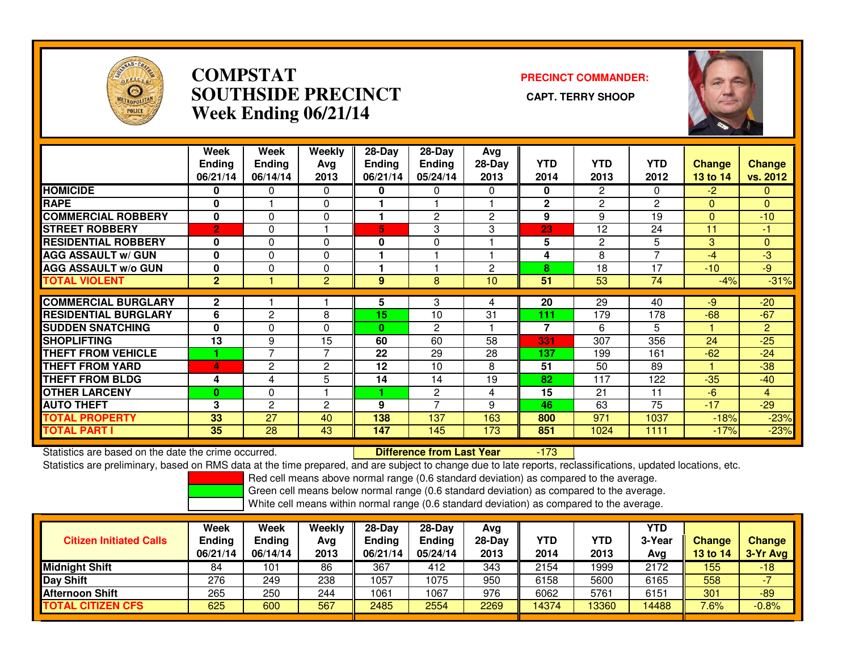

#### **COMPSTAT PRECINCT COMMANDER: SOUTHSIDE PRECINCT CAPT. TERRY SHOOPWeek Ending 06/21/14**



|                             | Week<br><b>Ending</b><br>06/21/14 | Week<br><b>Ending</b><br>06/14/14 | Weekly<br>Avg<br>2013 | 28-Day<br><b>Ending</b><br>06/21/14 | $28-Day$<br>Ending<br>05/24/14 | Avg<br>28-Day<br>2013 | <b>YTD</b><br>2014 | <b>YTD</b><br>2013 | <b>YTD</b><br>2012 | <b>Change</b><br>13 to 14 | <b>Change</b><br>vs. 2012 |
|-----------------------------|-----------------------------------|-----------------------------------|-----------------------|-------------------------------------|--------------------------------|-----------------------|--------------------|--------------------|--------------------|---------------------------|---------------------------|
| <b>HOMICIDE</b>             | 0                                 | 0                                 | 0                     | 0                                   | 0                              | $\Omega$              | $\bf{0}$           | 2                  | 0                  | $-2$                      | 0                         |
| <b>RAPE</b>                 | 0                                 |                                   | 0                     |                                     |                                |                       | $\mathbf{2}$       | $\overline{2}$     | $\overline{c}$     | $\Omega$                  | $\overline{0}$            |
| <b>COMMERCIAL ROBBERY</b>   | 0                                 | $\Omega$                          | 0                     |                                     | 2                              | $\overline{2}$        | 9                  | 9                  | 19                 | $\Omega$                  | $-10$                     |
| <b>STREET ROBBERY</b>       | $\overline{2}$                    | $\Omega$                          |                       | 5                                   | 3                              | 3                     | 23                 | 12                 | 24                 | 11                        | $-1$                      |
| <b>RESIDENTIAL ROBBERY</b>  | 0                                 | $\Omega$                          | $\Omega$              | O                                   | 0                              |                       | 5                  | 2                  | 5                  | 3                         | 0                         |
| <b>AGG ASSAULT w/ GUN</b>   | 0                                 | $\Omega$                          | 0                     |                                     |                                |                       | 4                  | 8                  | ⇁                  | $-4$                      | $-3$                      |
| <b>AGG ASSAULT w/o GUN</b>  | 0                                 | $\Omega$                          | 0                     |                                     |                                | $\overline{2}$        | 8                  | 18                 | 17                 | $-10$                     | $-9$                      |
| <b>TOTAL VIOLENT</b>        | $\mathbf{2}$                      |                                   | 2                     | 9                                   | 8                              | 10                    | 51                 | 53                 | 74                 | $-4%$                     | $-31%$                    |
|                             |                                   |                                   |                       |                                     |                                |                       |                    |                    |                    |                           |                           |
| <b>COMMERCIAL BURGLARY</b>  | $\mathbf 2$                       |                                   |                       | 5                                   | 3                              | 4                     | 20                 | 29                 | 40                 | $-9$                      | $-20$                     |
| <b>RESIDENTIAL BURGLARY</b> | 6                                 | $\overline{c}$                    | 8                     | 15                                  | 10                             | 31                    | 111                | 179                | 178                | $-68$                     | $-67$                     |
| <b>SUDDEN SNATCHING</b>     | 0                                 | $\Omega$                          | $\Omega$              | $\bf{0}$                            | 2                              |                       | 7                  | 6                  | 5                  |                           | $\overline{2}$            |
| <b>ISHOPLIFTING</b>         | 13                                | 9                                 | 15                    | 60                                  | 60                             | 58                    | 331                | 307                | 356                | 24                        | $-25$                     |
| <b>THEFT FROM VEHICLE</b>   |                                   | $\overline{\phantom{a}}$          | $\overline{7}$        | 22                                  | 29                             | 28                    | 137                | 199                | 161                | $-62$                     | $-24$                     |
| <b>THEFT FROM YARD</b>      | 4                                 | $\overline{2}$                    | $\mathbf{2}$          | 12                                  | 10                             | 8                     | 51                 | 50                 | 89                 |                           | $-38$                     |
| <b>THEFT FROM BLDG</b>      | 4                                 | 4                                 | 5                     | 14                                  | 14                             | 19                    | 82                 | 117                | 122                | $-35$                     | $-40$                     |
| <b>OTHER LARCENY</b>        | $\bf{0}$                          | 0                                 |                       |                                     | 2                              | 4                     | 15                 | 21                 | 11                 | $-6$                      | 4                         |
| <b>AUTO THEFT</b>           | 3                                 | 2                                 | $\overline{c}$        | 9                                   | 7                              | 9                     | 46                 | 63                 | 75                 | $-17$                     | $-29$                     |
| <b>TOTAL PROPERTY</b>       | 33                                | 27                                | 40                    | 138                                 | 137                            | 163                   | 800                | 971                | 1037               | $-18%$                    | $-23%$                    |
| <b>TOTAL PART I</b>         | 35                                | 28                                | 43                    | 147                                 | 145                            | 173                   | 851                | 1024               | 1111               | $-17%$                    | $-23%$                    |

Statistics are based on the date the crime occurred. **Difference from Last Year** 

-173

Statistics are preliminary, based on RMS data at the time prepared, and are subject to change due to late reports, reclassifications, updated locations, etc.

Red cell means above normal range (0.6 standard deviation) as compared to the average.

Green cell means below normal range (0.6 standard deviation) as compared to the average.

| <b>Citizen Initiated Calls</b> | Week<br><b>Ending</b><br>06/21/14 | Week<br><b>Ending</b><br>06/14/14 | Weekly<br>Avg<br>2013 | $28-Day$<br><b>Ending</b><br>06/21/14 | $28$ -Day<br><b>Ending</b><br>05/24/14 | Avg<br>$28-Dav$<br>2013 | YTD<br>2014 | YTD<br>2013 | YTD<br>3-Year<br>Avg | <b>Change</b><br>13 to 14 | <b>Change</b><br>3-Yr Avg |
|--------------------------------|-----------------------------------|-----------------------------------|-----------------------|---------------------------------------|----------------------------------------|-------------------------|-------------|-------------|----------------------|---------------------------|---------------------------|
| <b>Midnight Shift</b>          | 84                                | 101                               | 86                    | 367                                   | 412                                    | 343                     | 2154        | 1999        | 2172                 | 155                       | $-18$                     |
| <b>Day Shift</b>               | 276                               | 249                               | 238                   | 1057                                  | 1075                                   | 950                     | 6158        | 5600        | 6165                 | 558                       |                           |
| <b>Afternoon Shift</b>         | 265                               | 250                               | 244                   | 1061                                  | 1067                                   | 976                     | 6062        | 5761        | 6151                 | 301                       | $-89$                     |
| <b>TOTAL CITIZEN CFS</b>       | 625                               | 600                               | 567                   | 2485                                  | 2554                                   | 2269                    | 14374       | 13360       | 14488                | 7.6%                      | $-0.8%$                   |